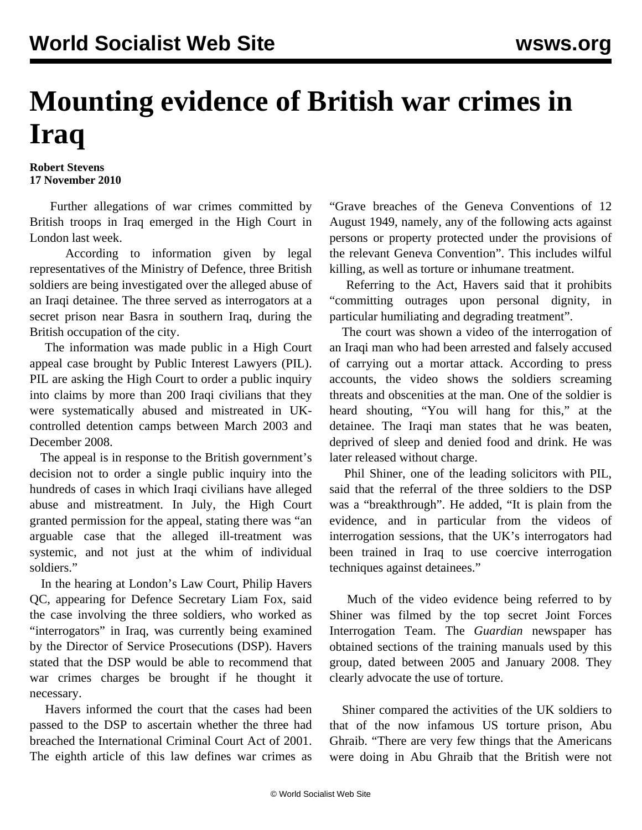## **Mounting evidence of British war crimes in Iraq**

**Robert Stevens 17 November 2010**

 Further allegations of war crimes committed by British troops in Iraq emerged in the High Court in London last week.

 According to information given by legal representatives of the Ministry of Defence, three British soldiers are being investigated over the alleged abuse of an Iraqi detainee. The three served as interrogators at a secret prison near Basra in southern Iraq, during the British occupation of the city.

 The information was made public in a High Court appeal case brought by Public Interest Lawyers (PIL). PIL are asking the High Court to order a public inquiry into claims by more than 200 Iraqi civilians that they were systematically abused and mistreated in UKcontrolled detention camps between March 2003 and December 2008.

 The appeal is in response to the British government's decision not to order a single public inquiry into the hundreds of cases in which Iraqi civilians have alleged abuse and mistreatment. In July, the High Court granted permission for the appeal, stating there was "an arguable case that the alleged ill-treatment was systemic, and not just at the whim of individual soldiers."

 In the hearing at London's Law Court, Philip Havers QC, appearing for Defence Secretary Liam Fox, said the case involving the three soldiers, who worked as "interrogators" in Iraq, was currently being examined by the Director of Service Prosecutions (DSP). Havers stated that the DSP would be able to recommend that war crimes charges be brought if he thought it necessary.

 Havers informed the court that the cases had been passed to the DSP to ascertain whether the three had breached the International Criminal Court Act of 2001. The eighth article of this law defines war crimes as "Grave breaches of the Geneva Conventions of 12 August 1949, namely, any of the following acts against persons or property protected under the provisions of the relevant Geneva Convention". This includes wilful killing, as well as torture or inhumane treatment.

 Referring to the Act, Havers said that it prohibits "committing outrages upon personal dignity, in particular humiliating and degrading treatment".

 The court was shown a video of the interrogation of an Iraqi man who had been arrested and falsely accused of carrying out a mortar attack. According to press accounts, the video shows the soldiers screaming threats and obscenities at the man. One of the soldier is heard shouting, "You will hang for this," at the detainee. The Iraqi man states that he was beaten, deprived of sleep and denied food and drink. He was later released without charge.

 Phil Shiner, one of the leading solicitors with PIL, said that the referral of the three soldiers to the DSP was a "breakthrough". He added, "It is plain from the evidence, and in particular from the videos of interrogation sessions, that the UK's interrogators had been trained in Iraq to use coercive interrogation techniques against detainees."

 Much of the video evidence being referred to by Shiner was filmed by the top secret Joint Forces Interrogation Team. The *Guardian* newspaper has obtained sections of the training manuals used by this group, dated between 2005 and January 2008. They clearly advocate the use of torture.

 Shiner compared the activities of the UK soldiers to that of the now infamous US torture prison, Abu Ghraib. "There are very few things that the Americans were doing in Abu Ghraib that the British were not